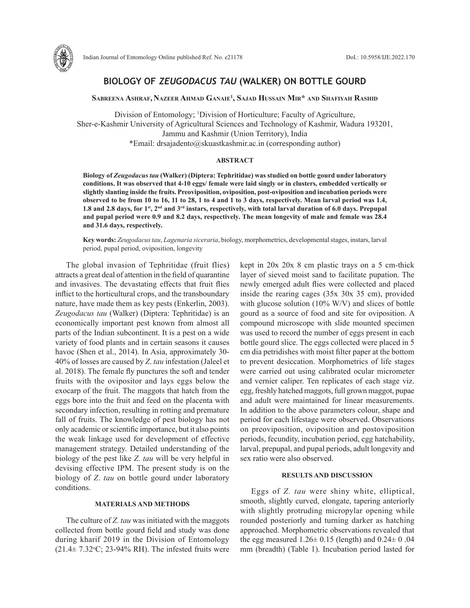

# **BIOLOGY OF** *ZEUGODACUS TAU* **(WALKER) ON BOTTLE GOURD**

**Sabreena Ashraf, Nazeer Ahmad Ganaie1 , Sajad Hussain Mir\* and Shafiyah Rashid**

Division of Entomology; 1 Division of Horticulture; Faculty of Agriculture, Sher-e-Kashmir University of Agricultural Sciences and Technology of Kashmir, Wadura 193201, Jammu and Kashmir (Union Territory), India \*Email: drsajadento@skuastkashmir.ac.in (corresponding author)

## **ABSTRACT**

**Biology of** *Zeugodacus tau* **(Walker) (Diptera: Tephritidae) was studied on bottle gourd under laboratory conditions. It was observed that 4-10 eggs/ female were laid singly or in clusters, embedded vertically or slightly slanting inside the fruits. Preoviposition, oviposition, post-oviposition and incubation periods were observed to be from 10 to 16, 11 to 28, 1 to 4 and 1 to 3 days, respectively. Mean larval period was 1.4, 1.8 and 2.8 days, for 1st, 2nd and 3rd instars, respectively, with total larval duration of 6.0 days. Prepupal and pupal period were 0.9 and 8.2 days, respectively. The mean longevity of male and female was 28.4 and 31.6 days, respectively.**

**Key words:** *Zeugodacus tau*, *Lagenaria siceraria*, biology, morphometrics, developmental stages, instars, larval period, pupal period, oviposition, longevity

The global invasion of Tephritidae (fruit flies) attracts a great deal of attention in the field of quarantine and invasives. The devastating effects that fruit flies inflict to the horticultural crops, and the transboundary nature, have made them as key pests (Enkerlin, 2003). *Zeugodacus tau* (Walker) (Diptera: Tephritidae) is an economically important pest known from almost all parts of the Indian subcontinent. It is a pest on a wide variety of food plants and in certain seasons it causes havoc (Shen et al., 2014). In Asia, approximately 30-40% of losses are caused by *Z*. *tau* infestation (Jaleel et al. 2018). The female fly punctures the soft and tender fruits with the ovipositor and lays eggs below the exocarp of the fruit. The maggots that hatch from the eggs bore into the fruit and feed on the placenta with secondary infection, resulting in rotting and premature fall of fruits. The knowledge of pest biology has not only academic or scientific importance, but it also points the weak linkage used for development of effective management strategy. Detailed understanding of the biology of the pest like *Z*. *tau* will be very helpful in devising effective IPM. The present study is on the biology of *Z*. *tau* on bottle gourd under laboratory conditions.

### **MATERIALS AND METHODS**

The culture of *Z. tau* was initiated with the maggots collected from bottle gourd field and study was done during kharif 2019 in the Division of Entomology  $(21.4 \pm 7.32 \degree C, 23-94\% RH)$ . The infested fruits were kept in 20x 20x 8 cm plastic trays on a 5 cm-thick layer of sieved moist sand to facilitate pupation. The newly emerged adult flies were collected and placed inside the rearing cages (35x 30x 35 cm), provided with glucose solution (10% W/V) and slices of bottle gourd as a source of food and site for oviposition. A compound microscope with slide mounted specimen was used to record the number of eggs present in each bottle gourd slice. The eggs collected were placed in 5 cm dia petridishes with moist filter paper at the bottom to prevent desiccation. Morphometrics of life stages were carried out using calibrated ocular micrometer and vernier caliper. Ten replicates of each stage viz. egg, freshly hatched maggots, full grown maggot, pupae and adult were maintained for linear measurements. In addition to the above parameters colour, shape and period for each lifestage were observed. Observations on preoviposition, oviposition and postoviposition periods, fecundity, incubation period, egg hatchability, larval, prepupal, and pupal periods, adult longevity and sex ratio were also observed.

### **RESULTS AND DISCUSSION**

Eggs of *Z. tau* were shiny white, elliptical, smooth, slightly curved, elongate, tapering anteriorly with slightly protruding micropylar opening while rounded posteriorly and turning darker as hatching approached. Morphometric observations revealed that the egg measured  $1.26 \pm 0.15$  (length) and  $0.24 \pm 0.04$ mm (breadth) (Table 1). Incubation period lasted for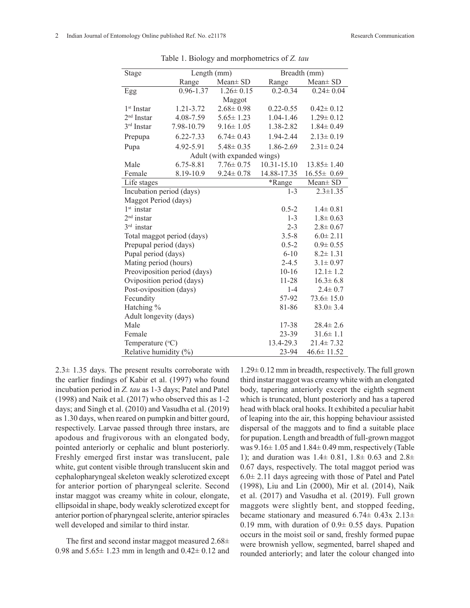| Stage                        | Length (mm)   |                 | Breadth (mm)  |                          |
|------------------------------|---------------|-----------------|---------------|--------------------------|
|                              | Range         | $Mean \pm SD$   | Range         | $Mean \pm SD$            |
| Egg                          | $0.96 - 1.37$ | $1.26 \pm 0.15$ | $0.2 - 0.34$  | $\overline{0.24}$ ± 0.04 |
|                              |               | Maggot          |               |                          |
| 1 <sup>st</sup> Instar       | 1.21-3.72     | $2.68 \pm 0.98$ | $0.22 - 0.55$ | $0.42 \pm 0.12$          |
| $2nd$ Instar                 | 4.08-7.59     | $5.65 \pm 1.23$ | 1.04-1.46     | $1.29 \pm 0.12$          |
| 3rd Instar                   | 7.98-10.79    | $9.16 \pm 1.05$ | 1.38-2.82     | $1.84 \pm 0.49$          |
| Prepupa                      | 6.22-7.33     | $6.74 \pm 0.43$ | 1.94-2.44     | $2.13 \pm 0.19$          |
| Pupa                         | 4.92-5.91     | $5.48 \pm 0.35$ | 1.86-2.69     | $2.31 \pm 0.24$          |
| Adult (with expanded wings)  |               |                 |               |                          |
| Male                         | 6.75-8.81     | $7.76 \pm 0.75$ | 10.31-15.10   | $13.85 \pm 1.40$         |
| Female                       | 8.19-10.9     | $9.24 \pm 0.78$ | 14.88-17.35   | $16.55 \pm 0.69$         |
| Life stages                  |               |                 | *Range        | Mean± SD                 |
| Incubation period (days)     |               |                 | $1 - 3$       | $2.3 \pm 1.35$           |
| Maggot Period (days)         |               |                 |               |                          |
| $1st$ instar                 |               |                 | $0.5 - 2$     | $1.4 \pm 0.81$           |
| $2nd$ instar                 |               |                 | $1 - 3$       | $1.8 \pm 0.63$           |
| $3rd$ instar                 |               |                 | $2 - 3$       | $2.8 \pm 0.67$           |
| Total maggot period (days)   |               |                 | $3.5 - 8$     | $6.0 \pm 2.11$           |
| Prepupal period (days)       |               |                 | $0.5 - 2$     | $0.9 \pm 0.55$           |
| Pupal period (days)          |               |                 | $6 - 10$      | $8.2 \pm 1.31$           |
| Mating period (hours)        |               |                 | $2 - 4.5$     | $3.1 \pm 0.97$           |
| Preoviposition period (days) |               |                 | $10 - 16$     | $12.1 \pm 1.2$           |
| Oviposition period (days)    |               |                 | 11-28         | $16.3 \pm 6.8$           |
| Post-oviposition (days)      |               |                 | $1 - 4$       | $2.4 \pm 0.7$            |
| Fecundity                    |               |                 | 57-92         | $73.6 \pm 15.0$          |
| Hatching %                   |               |                 | 81-86         | $83.0 \pm 3.4$           |
| Adult longevity (days)       |               |                 |               |                          |
| Male                         |               |                 | 17-38         | $28.4 \pm 2.6$           |
| Female                       |               |                 | 23-39         | $31.6 \pm 1.1$           |
| Temperature $({}^{\circ}C)$  |               |                 | 13.4-29.3     | $21.4 \pm 7.32$          |
| Relative humidity (%)        |               |                 | 23-94         | $46.6 \pm 11.52$         |

Table 1. Biology and morphometrics of *Z. tau*

 $2.3\pm 1.35$  days. The present results corroborate with the earlier findings of Kabir et al. (1997) who found incubation period in *Z. tau* as 1-3 days; Patel and Patel (1998) and Naik et al. (2017) who observed this as 1-2 days; and Singh et al. (2010) and Vasudha et al. (2019) as 1.30 days, when reared on pumpkin and bitter gourd, respectively. Larvae passed through three instars, are apodous and frugivorous with an elongated body, pointed anteriorly or cephalic and blunt posteriorly. Freshly emerged first instar was translucent, pale white, gut content visible through translucent skin and cephalopharyngeal skeleton weakly sclerotized except for anterior portion of pharyngeal sclerite. Second instar maggot was creamy white in colour, elongate, ellipsoidal in shape, body weakly sclerotized except for anterior portion of pharyngeal sclerite, anterior spiracles well developed and similar to third instar.

The first and second instar maggot measured  $2.68\pm$ 0.98 and  $5.65 \pm 1.23$  mm in length and  $0.42 \pm 0.12$  and

1.29± 0.12 mm in breadth, respectively. The full grown third instar maggot was creamy white with an elongated body, tapering anteriorly except the eighth segment which is truncated, blunt posteriorly and has a tapered head with black oral hooks. It exhibited a peculiar habit of leaping into the air, this hopping behaviour assisted dispersal of the maggots and to find a suitable place for pupation. Length and breadth of full-grown maggot was  $9.16 \pm 1.05$  and  $1.84 \pm 0.49$  mm, respectively (Table 1); and duration was  $1.4 \pm 0.81$ ,  $1.8 \pm 0.63$  and  $2.8 \pm 1.63$ 0.67 days, respectively. The total maggot period was 6.0± 2.11 days agreeing with those of Patel and Patel (1998), Liu and Lin (2000), Mir et al. (2014), Naik et al. (2017) and Vasudha et al. (2019). Full grown maggots were slightly bent, and stopped feeding, became stationary and measured  $6.74 \pm 0.43x$   $2.13 \pm$ 0.19 mm, with duration of  $0.9 \pm 0.55$  days. Pupation occurs in the moist soil or sand, freshly formed pupae were brownish yellow, segmented, barrel shaped and rounded anteriorly; and later the colour changed into